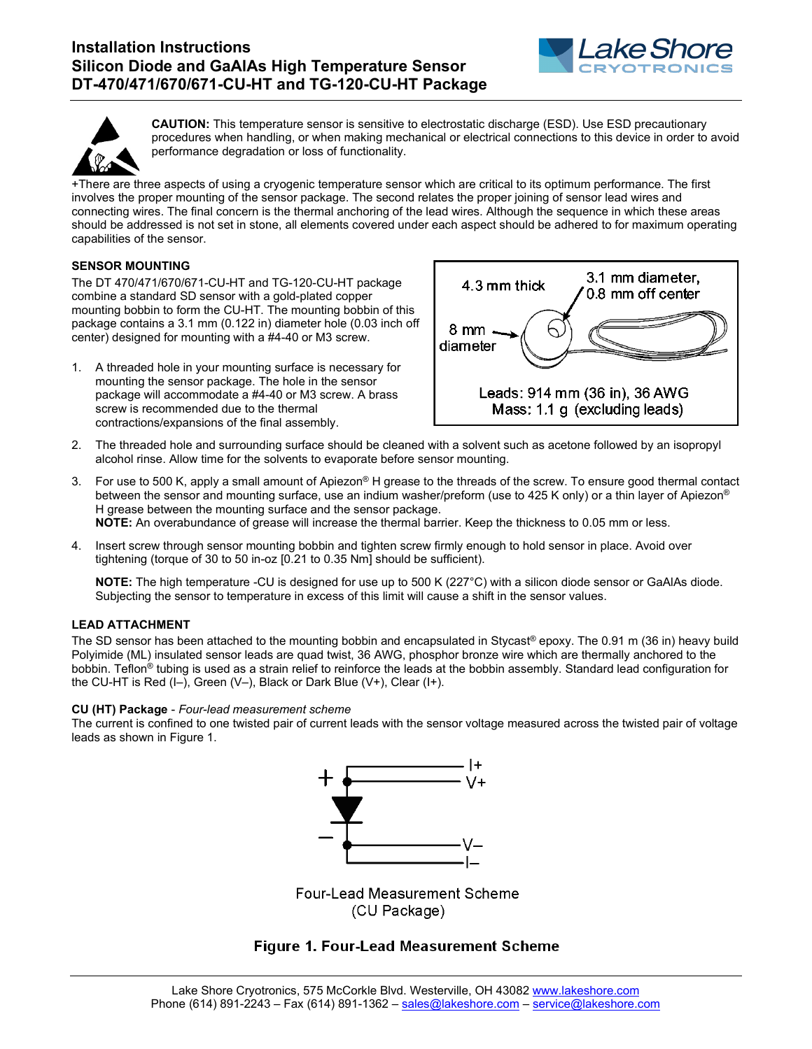# **Installation Instructions Silicon Diode and GaAlAs High Temperature Sensor DT-470/471/670/671-CU-HT and TG-120-CU-HT Package**





**CAUTION:** This temperature sensor is sensitive to electrostatic discharge (ESD). Use ESD precautionary procedures when handling, or when making mechanical or electrical connections to this device in order to avoid performance degradation or loss of functionality.

+There are three aspects of using a cryogenic temperature sensor which are critical to its optimum performance. The first involves the proper mounting of the sensor package. The second relates the proper joining of sensor lead wires and connecting wires. The final concern is the thermal anchoring of the lead wires. Although the sequence in which these areas should be addressed is not set in stone, all elements covered under each aspect should be adhered to for maximum operating capabilities of the sensor.

### **SENSOR MOUNTING**

The DT 470/471/670/671-CU-HT and TG-120-CU-HT package combine a standard SD sensor with a gold-plated copper mounting bobbin to form the CU-HT. The mounting bobbin of this package contains a 3.1 mm (0.122 in) diameter hole (0.03 inch off center) designed for mounting with a #4-40 or M3 screw.

1. A threaded hole in your mounting surface is necessary for mounting the sensor package. The hole in the sensor package will accommodate a #4-40 or M3 screw. A brass screw is recommended due to the thermal contractions/expansions of the final assembly.



- 2. The threaded hole and surrounding surface should be cleaned with a solvent such as acetone followed by an isopropyl alcohol rinse. Allow time for the solvents to evaporate before sensor mounting.
- 3. For use to 500 K, apply a small amount of Apiezon® H grease to the threads of the screw. To ensure good thermal contact between the sensor and mounting surface, use an indium washer/preform (use to 425 K only) or a thin layer of Apiezon® H grease between the mounting surface and the sensor package.

**NOTE:** An overabundance of grease will increase the thermal barrier. Keep the thickness to 0.05 mm or less.

4. Insert screw through sensor mounting bobbin and tighten screw firmly enough to hold sensor in place. Avoid over tightening (torque of 30 to 50 in-oz [0.21 to 0.35 Nm] should be sufficient).

**NOTE:** The high temperature -CU is designed for use up to 500 K (227°C) with a silicon diode sensor or GaAlAs diode. Subjecting the sensor to temperature in excess of this limit will cause a shift in the sensor values.

#### **LEAD ATTACHMENT**

The SD sensor has been attached to the mounting bobbin and encapsulated in Stycast® epoxy. The 0.91 m (36 in) heavy build Polyimide (ML) insulated sensor leads are quad twist, 36 AWG, phosphor bronze wire which are thermally anchored to the bobbin. Teflon<sup>®</sup> tubing is used as a strain relief to reinforce the leads at the bobbin assembly. Standard lead configuration for the CU-HT is Red (I–), Green (V–), Black or Dark Blue (V+), Clear (I+).

#### **CU (HT) Package** - *Four-lead measurement scheme*

The current is confined to one twisted pair of current leads with the sensor voltage measured across the twisted pair of voltage leads as shown in Figure 1.



**Four-Lead Measurement Scheme** (CU Package)

## **Figure 1. Four-Lead Measurement Scheme**